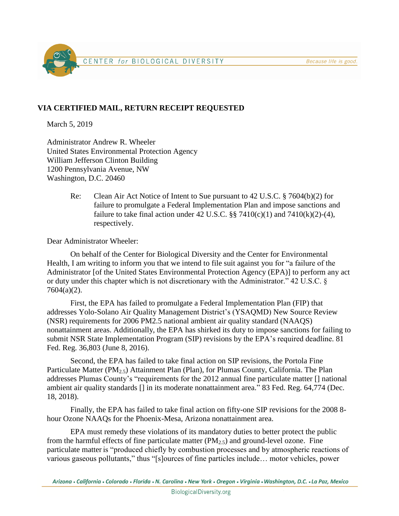Because life is good.



## **VIA CERTIFIED MAIL, RETURN RECEIPT REQUESTED**

March 5, 2019

Administrator Andrew R. Wheeler United States Environmental Protection Agency William Jefferson Clinton Building 1200 Pennsylvania Avenue, NW Washington, D.C. 20460

> Re: Clean Air Act Notice of Intent to Sue pursuant to 42 U.S.C. § 7604(b)(2) for failure to promulgate a Federal Implementation Plan and impose sanctions and failure to take final action under 42 U.S.C. §§ 7410(c)(1) and 7410(k)(2)-(4), respectively.

Dear Administrator Wheeler:

On behalf of the Center for Biological Diversity and the Center for Environmental Health, I am writing to inform you that we intend to file suit against you for "a failure of the Administrator [of the United States Environmental Protection Agency (EPA)] to perform any act or duty under this chapter which is not discretionary with the Administrator." 42 U.S.C. § 7604(a)(2).

First, the EPA has failed to promulgate a Federal Implementation Plan (FIP) that addresses Yolo-Solano Air Quality Management District's (YSAQMD) New Source Review (NSR) requirements for 2006 PM2.5 national ambient air quality standard (NAAQS) nonattainment areas. Additionally, the EPA has shirked its duty to impose sanctions for failing to submit NSR State Implementation Program (SIP) revisions by the EPA's required deadline. 81 Fed. Reg. 36,803 (June 8, 2016).

Second, the EPA has failed to take final action on SIP revisions, the Portola Fine Particulate Matter (PM<sub>2.5</sub>) Attainment Plan (Plan), for Plumas County, California. The Plan addresses Plumas County's "requirements for the 2012 annual fine particulate matter [] national ambient air quality standards [] in its moderate nonattainment area." 83 Fed. Reg. 64,774 (Dec. 18, 2018).

Finally, the EPA has failed to take final action on fifty-one SIP revisions for the 2008 8 hour Ozone NAAQs for the Phoenix-Mesa, Arizona nonattainment area.

EPA must remedy these violations of its mandatory duties to better protect the public from the harmful effects of fine particulate matter  $(PM<sub>2.5</sub>)$  and ground-level ozone. Fine particulate matter is "produced chiefly by combustion processes and by atmospheric reactions of various gaseous pollutants," thus "[s]ources of fine particles include… motor vehicles, power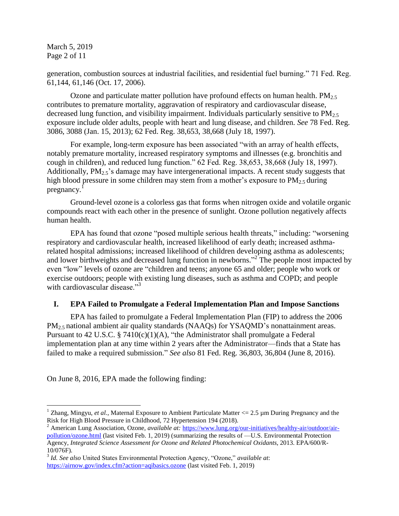March 5, 2019 Page 2 of 11

generation, combustion sources at industrial facilities, and residential fuel burning." 71 Fed. Reg. 61,144, 61,146 (Oct. 17, 2006).

Ozone and particulate matter pollution have profound effects on human health.  $PM<sub>2.5</sub>$ contributes to premature mortality, aggravation of respiratory and cardiovascular disease, decreased lung function, and visibility impairment. Individuals particularly sensitive to  $PM_{2.5}$ exposure include older adults, people with heart and lung disease, and children. *See* 78 Fed. Reg. 3086, 3088 (Jan. 15, 2013); 62 Fed. Reg. 38,653, 38,668 (July 18, 1997).

For example, long-term exposure has been associated "with an array of health effects, notably premature mortality, increased respiratory symptoms and illnesses (e.g. bronchitis and cough in children), and reduced lung function." 62 Fed. Reg. 38,653, 38,668 (July 18, 1997). Additionally,  $PM<sub>2.5</sub>$ 's damage may have intergenerational impacts. A recent study suggests that high blood pressure in some children may stem from a mother's exposure to  $PM_2$ , during pregnancy.<sup>1</sup>

Ground-level ozone is a colorless gas that forms when nitrogen oxide and volatile organic compounds react with each other in the presence of sunlight. Ozone pollution negatively affects human health.

EPA has found that ozone "posed multiple serious health threats," including: "worsening respiratory and cardiovascular health, increased likelihood of early death; increased asthmarelated hospital admissions; increased likelihood of children developing asthma as adolescents; and lower birthweights and decreased lung function in newborns."<sup>2</sup> The people most impacted by even "low" levels of ozone are "children and teens; anyone 65 and older; people who work or exercise outdoors; people with existing lung diseases, such as asthma and COPD; and people with cardiovascular disease." $3<sup>3</sup>$ 

#### **I. EPA Failed to Promulgate a Federal Implementation Plan and Impose Sanctions**

EPA has failed to promulgate a Federal Implementation Plan (FIP) to address the 2006 PM<sub>2.5</sub> national ambient air quality standards (NAAQs) for YSAQMD's nonattainment areas. Pursuant to 42 U.S.C. § 7410(c)(1)(A), "the Administrator shall promulgate a Federal implementation plan at any time within 2 years after the Administrator—finds that a State has failed to make a required submission." *See also* 81 Fed. Reg. 36,803, 36,804 (June 8, 2016).

On June 8, 2016, EPA made the following finding:

 $\overline{a}$ 

<sup>&</sup>lt;sup>1</sup> Zhang, Mingyu, *et al.*, Maternal Exposure to Ambient Particulate Matter  $\langle 2.5 \text{ µm}$  During Pregnancy and the Risk for High Blood Pressure in Childhood, 72 Hypertension 194 (2018).

<sup>&</sup>lt;sup>2</sup> American Lung Association, Ozone, *available at:* [https://www.lung.org/our-initiatives/healthy-air/outdoor/air](https://www.lung.org/our-initiatives/healthy-air/outdoor/air-pollution/ozone.html)[pollution/ozone.html](https://www.lung.org/our-initiatives/healthy-air/outdoor/air-pollution/ozone.html) (last visited Feb. 1, 2019) (summarizing the results of —U.S. Environmental Protection Agency, *Integrated Science Assessment for Ozone and Related Photochemical Oxidants*, 2013. EPA/600/R-10/076F).

<sup>3</sup> *Id. See also* United States Environmental Protection Agency, "Ozone," *available at*: <https://airnow.gov/index.cfm?action=aqibasics.ozone> (last visited Feb. 1, 2019)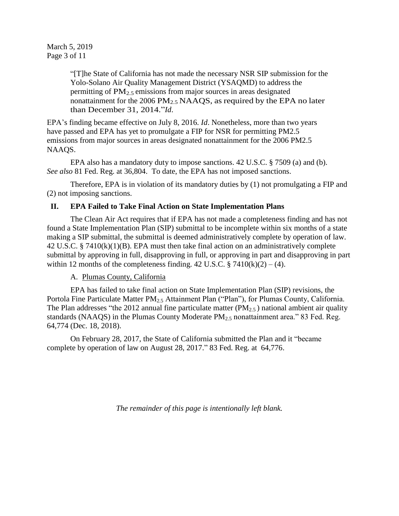March 5, 2019 Page 3 of 11

> "[T]he State of California has not made the necessary NSR SIP submission for the Yolo-Solano Air Quality Management District (YSAQMD) to address the permitting of  $PM<sub>2.5</sub>$  emissions from major sources in areas designated nonattainment for the 2006 PM<sub>2.5</sub> NAAQS, as required by the EPA no later than December 31, 2014."*Id*.

EPA's finding became effective on July 8, 2016. *Id*. Nonetheless, more than two years have passed and EPA has yet to promulgate a FIP for NSR for permitting PM2.5 emissions from major sources in areas designated nonattainment for the 2006 PM2.5 NAAQS.

EPA also has a mandatory duty to impose sanctions. 42 U.S.C. § 7509 (a) and (b). *See also* 81 Fed. Reg. at 36,804. To date, the EPA has not imposed sanctions.

Therefore, EPA is in violation of its mandatory duties by (1) not promulgating a FIP and (2) not imposing sanctions.

### **II. EPA Failed to Take Final Action on State Implementation Plans**

The Clean Air Act requires that if EPA has not made a completeness finding and has not found a State Implementation Plan (SIP) submittal to be incomplete within six months of a state making a SIP submittal, the submittal is deemed administratively complete by operation of law. 42 U.S.C. § 7410(k)(1)(B). EPA must then take final action on an administratively complete submittal by approving in full, disapproving in full, or approving in part and disapproving in part within 12 months of the completeness finding. 42 U.S.C.  $\S$  7410(k)(2) – (4).

A. Plumas County, California

EPA has failed to take final action on State Implementation Plan (SIP) revisions, the Portola Fine Particulate Matter PM<sub>2.5</sub> Attainment Plan ("Plan"), for Plumas County, California. The Plan addresses "the 2012 annual fine particulate matter  $(PM_{2.5})$  national ambient air quality standards (NAAQS) in the Plumas County Moderate  $PM<sub>2.5</sub>$  nonattainment area." 83 Fed. Reg. 64,774 (Dec. 18, 2018).

On February 28, 2017, the State of California submitted the Plan and it "became complete by operation of law on August 28, 2017." 83 Fed. Reg. at 64,776.

*The remainder of this page is intentionally left blank.*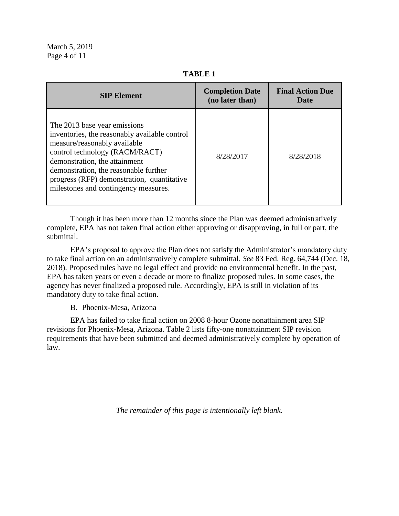**TABLE 1**

| <b>SIP Element</b>                                                                                                                                                                                                                                                                                              | <b>Completion Date</b><br>(no later than) | <b>Final Action Due</b><br>Date |
|-----------------------------------------------------------------------------------------------------------------------------------------------------------------------------------------------------------------------------------------------------------------------------------------------------------------|-------------------------------------------|---------------------------------|
| The 2013 base year emissions<br>inventories, the reasonably available control<br>measure/reasonably available<br>control technology (RACM/RACT)<br>demonstration, the attainment<br>demonstration, the reasonable further<br>progress (RFP) demonstration, quantitative<br>milestones and contingency measures. | 8/28/2017                                 | 8/28/2018                       |

Though it has been more than 12 months since the Plan was deemed administratively complete, EPA has not taken final action either approving or disapproving, in full or part, the submittal.

EPA's proposal to approve the Plan does not satisfy the Administrator's mandatory duty to take final action on an administratively complete submittal. *See* 83 Fed. Reg. 64,744 (Dec. 18, 2018). Proposed rules have no legal effect and provide no environmental benefit. In the past, EPA has taken years or even a decade or more to finalize proposed rules. In some cases, the agency has never finalized a proposed rule. Accordingly, EPA is still in violation of its mandatory duty to take final action.

#### B. Phoenix-Mesa, Arizona

EPA has failed to take final action on 2008 8-hour Ozone nonattainment area SIP revisions for Phoenix-Mesa, Arizona. Table 2 lists fifty-one nonattainment SIP revision requirements that have been submitted and deemed administratively complete by operation of law.

*The remainder of this page is intentionally left blank.*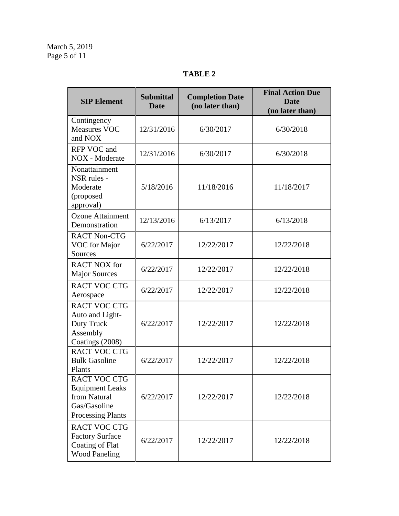# **TABLE 2**

| <b>SIP Element</b>                                                                                        | <b>Submittal</b><br><b>Date</b> | <b>Completion Date</b><br>(no later than) | <b>Final Action Due</b><br><b>Date</b><br>(no later than) |
|-----------------------------------------------------------------------------------------------------------|---------------------------------|-------------------------------------------|-----------------------------------------------------------|
| Contingency<br><b>Measures VOC</b><br>and NOX                                                             | 12/31/2016                      | 6/30/2017                                 | 6/30/2018                                                 |
| RFP VOC and<br>NOX - Moderate                                                                             | 12/31/2016                      | 6/30/2017                                 | 6/30/2018                                                 |
| Nonattainment<br>NSR rules -<br>Moderate<br>(proposed<br>approval)                                        | 5/18/2016                       | 11/18/2016                                | 11/18/2017                                                |
| <b>Ozone Attainment</b><br>Demonstration                                                                  | 12/13/2016                      | 6/13/2017                                 | 6/13/2018                                                 |
| <b>RACT Non-CTG</b><br>VOC for Major<br>Sources                                                           | 6/22/2017                       | 12/22/2017                                | 12/22/2018                                                |
| <b>RACT NOX for</b><br><b>Major Sources</b>                                                               | 6/22/2017                       | 12/22/2017                                | 12/22/2018                                                |
| <b>RACT VOC CTG</b><br>Aerospace                                                                          | 6/22/2017                       | 12/22/2017                                | 12/22/2018                                                |
| <b>RACT VOC CTG</b><br>Auto and Light-<br>Duty Truck<br>Assembly<br>Coatings (2008)                       | 6/22/2017                       | 12/22/2017                                | 12/22/2018                                                |
| <b>RACT VOC CTG</b><br><b>Bulk Gasoline</b><br>Plants                                                     | 6/22/2017                       | 12/22/2017                                | 12/22/2018                                                |
| <b>RACT VOC CTG</b><br><b>Equipment Leaks</b><br>from Natural<br>Gas/Gasoline<br><b>Processing Plants</b> | 6/22/2017                       | 12/22/2017                                | 12/22/2018                                                |
| <b>RACT VOC CTG</b><br><b>Factory Surface</b><br>Coating of Flat<br><b>Wood Paneling</b>                  | 6/22/2017                       | 12/22/2017                                | 12/22/2018                                                |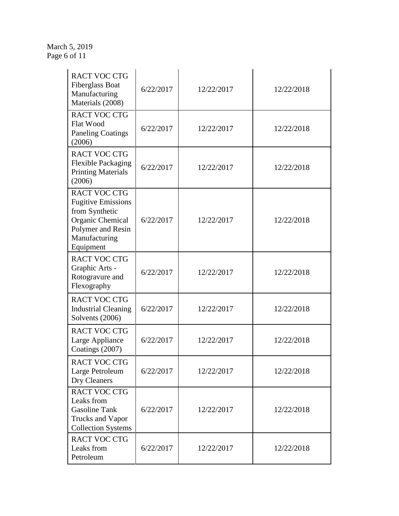#### March 5, 2019 Page 6 of 11

| <b>RACT VOC CTG</b><br><b>Fiberglass Boat</b><br>Manufacturing<br>Materials (2008)                                                        | 6/22/2017 | 12/22/2017 | 12/22/2018 |
|-------------------------------------------------------------------------------------------------------------------------------------------|-----------|------------|------------|
| <b>RACT VOC CTG</b><br><b>Flat Wood</b><br><b>Paneling Coatings</b><br>(2006)                                                             | 6/22/2017 | 12/22/2017 | 12/22/2018 |
| <b>RACT VOC CTG</b><br><b>Flexible Packaging</b><br><b>Printing Materials</b><br>(2006)                                                   | 6/22/2017 | 12/22/2017 | 12/22/2018 |
| <b>RACT VOC CTG</b><br><b>Fugitive Emissions</b><br>from Synthetic<br>Organic Chemical<br>Polymer and Resin<br>Manufacturing<br>Equipment | 6/22/2017 | 12/22/2017 | 12/22/2018 |
| <b>RACT VOC CTG</b><br>Graphic Arts -<br>Rotogravure and<br>Flexography                                                                   | 6/22/2017 | 12/22/2017 | 12/22/2018 |
| <b>RACT VOC CTG</b><br><b>Industrial Cleaning</b><br>Solvents (2006)                                                                      | 6/22/2017 | 12/22/2017 | 12/22/2018 |
| <b>RACT VOC CTG</b><br>Large Appliance<br>Coatings (2007)                                                                                 | 6/22/2017 | 12/22/2017 | 12/22/2018 |
| <b>RACT VOC CTG</b><br>Large Petroleum<br>Dry Cleaners                                                                                    | 6/22/2017 | 12/22/2017 | 12/22/2018 |
| <b>RACT VOC CTG</b><br>Leaks from<br><b>Gasoline Tank</b><br><b>Trucks and Vapor</b><br><b>Collection Systems</b>                         | 6/22/2017 | 12/22/2017 | 12/22/2018 |
| <b>RACT VOC CTG</b><br>Leaks from<br>Petroleum                                                                                            | 6/22/2017 | 12/22/2017 | 12/22/2018 |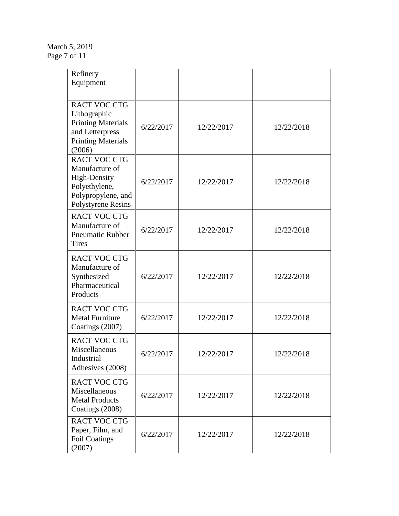March 5, 2019 Page 7 of 11

| Refinery<br>Equipment                                                                                                      |           |            |            |
|----------------------------------------------------------------------------------------------------------------------------|-----------|------------|------------|
| <b>RACT VOC CTG</b><br>Lithographic<br><b>Printing Materials</b><br>and Letterpress<br><b>Printing Materials</b><br>(2006) | 6/22/2017 | 12/22/2017 | 12/22/2018 |
| RACT VOC CTG<br>Manufacture of<br>High-Density<br>Polyethylene,<br>Polypropylene, and<br><b>Polystyrene Resins</b>         | 6/22/2017 | 12/22/2017 | 12/22/2018 |
| <b>RACT VOC CTG</b><br>Manufacture of<br><b>Pneumatic Rubber</b><br><b>Tires</b>                                           | 6/22/2017 | 12/22/2017 | 12/22/2018 |
| <b>RACT VOC CTG</b><br>Manufacture of<br>Synthesized<br>Pharmaceutical<br>Products                                         | 6/22/2017 | 12/22/2017 | 12/22/2018 |
| <b>RACT VOC CTG</b><br><b>Metal Furniture</b><br>Coatings (2007)                                                           | 6/22/2017 | 12/22/2017 | 12/22/2018 |
| <b>RACT VOC CTG</b><br>Miscellaneous<br>Industrial<br>Adhesives (2008)                                                     | 6/22/2017 | 12/22/2017 | 12/22/2018 |
| <b>RACT VOC CTG</b><br>Miscellaneous<br><b>Metal Products</b><br>Coatings (2008)                                           | 6/22/2017 | 12/22/2017 | 12/22/2018 |
| <b>RACT VOC CTG</b><br>Paper, Film, and<br><b>Foil Coatings</b><br>(2007)                                                  | 6/22/2017 | 12/22/2017 | 12/22/2018 |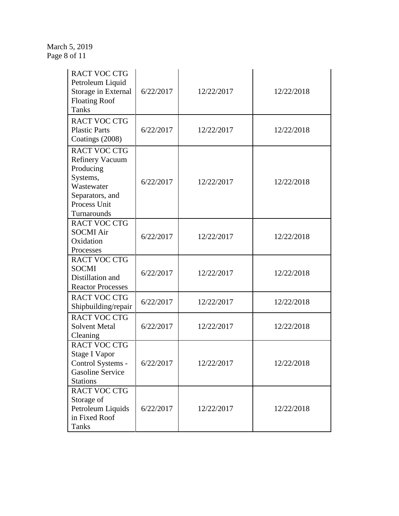March 5, 2019 Page 8 of 11

| <b>RACT VOC CTG</b><br>Petroleum Liquid<br>Storage in External<br><b>Floating Roof</b><br><b>Tanks</b>                                 | 6/22/2017 | 12/22/2017 | 12/22/2018 |
|----------------------------------------------------------------------------------------------------------------------------------------|-----------|------------|------------|
| <b>RACT VOC CTG</b><br><b>Plastic Parts</b><br>Coatings (2008)                                                                         | 6/22/2017 | 12/22/2017 | 12/22/2018 |
| <b>RACT VOC CTG</b><br><b>Refinery Vacuum</b><br>Producing<br>Systems,<br>Wastewater<br>Separators, and<br>Process Unit<br>Turnarounds | 6/22/2017 | 12/22/2017 | 12/22/2018 |
| <b>RACT VOC CTG</b><br><b>SOCMI Air</b><br>Oxidation<br>Processes                                                                      | 6/22/2017 | 12/22/2017 | 12/22/2018 |
| <b>RACT VOC CTG</b><br><b>SOCMI</b><br>Distillation and<br><b>Reactor Processes</b>                                                    | 6/22/2017 | 12/22/2017 | 12/22/2018 |
| <b>RACT VOC CTG</b><br>Shipbuilding/repair                                                                                             | 6/22/2017 | 12/22/2017 | 12/22/2018 |
| <b>RACT VOC CTG</b><br><b>Solvent Metal</b><br>Cleaning                                                                                | 6/22/2017 | 12/22/2017 | 12/22/2018 |
| <b>RACT VOC CTG</b><br>Stage I Vapor<br>Control Systems -<br><b>Gasoline Service</b><br><b>Stations</b>                                | 6/22/2017 | 12/22/2017 | 12/22/2018 |
| <b>RACT VOC CTG</b><br>Storage of<br>Petroleum Liquids<br>in Fixed Roof<br><b>Tanks</b>                                                | 6/22/2017 | 12/22/2017 | 12/22/2018 |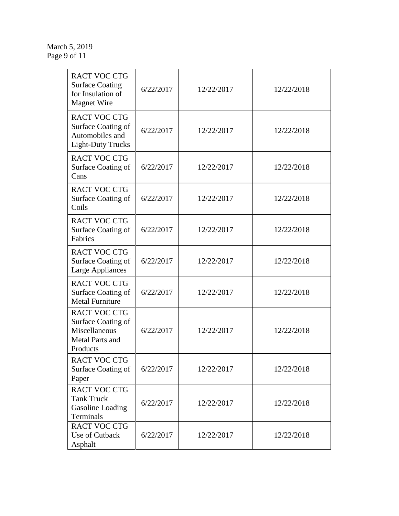#### March 5, 2019 Page 9 of 11

| <b>RACT VOC CTG</b><br><b>Surface Coating</b><br>for Insulation of<br><b>Magnet Wire</b>  | 6/22/2017 | 12/22/2017 | 12/22/2018 |
|-------------------------------------------------------------------------------------------|-----------|------------|------------|
| <b>RACT VOC CTG</b><br>Surface Coating of<br>Automobiles and<br><b>Light-Duty Trucks</b>  | 6/22/2017 | 12/22/2017 | 12/22/2018 |
| <b>RACT VOC CTG</b><br>Surface Coating of<br>Cans                                         | 6/22/2017 | 12/22/2017 | 12/22/2018 |
| <b>RACT VOC CTG</b><br>Surface Coating of<br>Coils                                        | 6/22/2017 | 12/22/2017 | 12/22/2018 |
| <b>RACT VOC CTG</b><br>Surface Coating of<br>Fabrics                                      | 6/22/2017 | 12/22/2017 | 12/22/2018 |
| <b>RACT VOC CTG</b><br>Surface Coating of<br><b>Large Appliances</b>                      | 6/22/2017 | 12/22/2017 | 12/22/2018 |
| <b>RACT VOC CTG</b><br>Surface Coating of<br><b>Metal Furniture</b>                       | 6/22/2017 | 12/22/2017 | 12/22/2018 |
| <b>RACT VOC CTG</b><br>Surface Coating of<br>Miscellaneous<br>Metal Parts and<br>Products | 6/22/2017 | 12/22/2017 | 12/22/2018 |
| <b>RACT VOC CTG</b><br>Surface Coating of<br>Paper                                        | 6/22/2017 | 12/22/2017 | 12/22/2018 |
| <b>RACT VOC CTG</b><br><b>Tank Truck</b><br>Gasoline Loading<br>Terminals                 | 6/22/2017 | 12/22/2017 | 12/22/2018 |
| <b>RACT VOC CTG</b><br>Use of Cutback<br>Asphalt                                          | 6/22/2017 | 12/22/2017 | 12/22/2018 |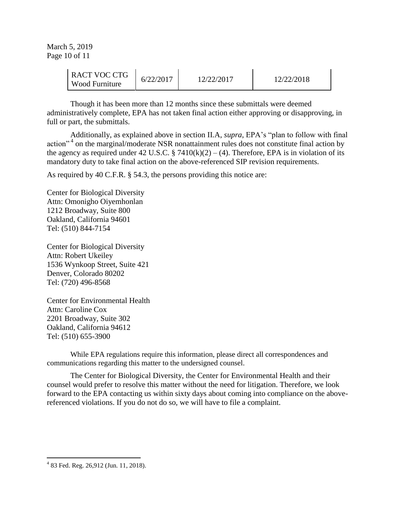March 5, 2019 Page 10 of 11

| <b>RACT VOC CTG</b><br><b>Wood Furniture</b> | 6/22/2017 | 12/22/2017 | 12/22/2018 |
|----------------------------------------------|-----------|------------|------------|
|                                              |           |            |            |

Though it has been more than 12 months since these submittals were deemed administratively complete, EPA has not taken final action either approving or disapproving, in full or part, the submittals.

Additionally, as explained above in section II.A, *supra*, EPA's "plan to follow with final action"<sup>4</sup> on the marginal/moderate NSR nonattainment rules does not constitute final action by the agency as required under 42 U.S.C. § 7410 $(k)(2) - (4)$ . Therefore, EPA is in violation of its mandatory duty to take final action on the above-referenced SIP revision requirements.

As required by 40 C.F.R. § 54.3, the persons providing this notice are:

Center for Biological Diversity Attn: Omonigho Oiyemhonlan 1212 Broadway, Suite 800 Oakland, California 94601 Tel: (510) 844-7154

Center for Biological Diversity Attn: Robert Ukeiley 1536 Wynkoop Street, Suite 421 Denver, Colorado 80202 Tel: (720) 496-8568

Center for Environmental Health Attn: Caroline Cox 2201 Broadway, Suite 302 Oakland, California 94612 Tel: (510) 655-3900

While EPA regulations require this information, please direct all correspondences and communications regarding this matter to the undersigned counsel.

The Center for Biological Diversity, the Center for Environmental Health and their counsel would prefer to resolve this matter without the need for litigation. Therefore, we look forward to the EPA contacting us within sixty days about coming into compliance on the abovereferenced violations. If you do not do so, we will have to file a complaint.

 $\overline{a}$ 

<sup>4</sup> 83 Fed. Reg. 26,912 (Jun. 11, 2018).